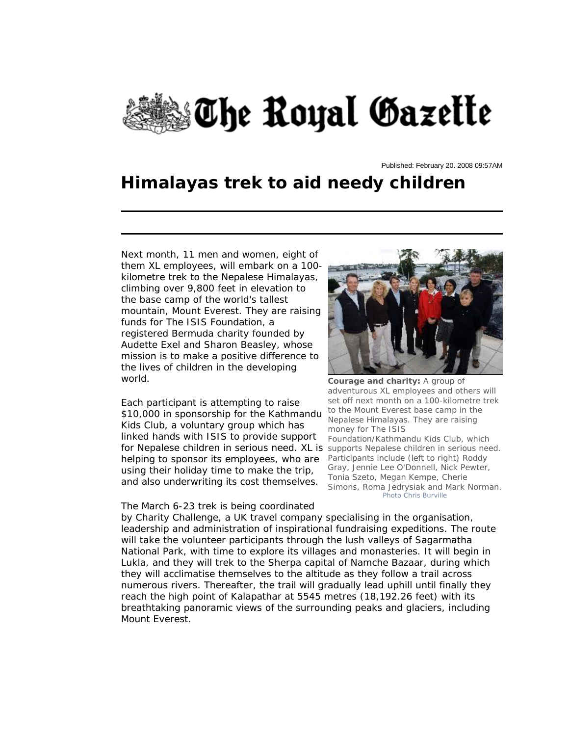

Published: February 20. 2008 09:57AM

## **Himalayas trek to aid needy children**

Next month, 11 men and women, eight of them XL employees, will embark on a 100 kilometre trek to the Nepalese Himalayas, climbing over 9,800 feet in elevation to the base camp of the world's tallest mountain, Mount Everest. They are raising funds for The ISIS Foundation, a registered Bermuda charity founded by Audette Exel and Sharon Beasley, whose mission is to make a positive difference to the lives of children in the developing world.

Each participant is attempting to raise \$10,000 in sponsorship for the Kathmandu Kids Club, a voluntary group which has linked hands with ISIS to provide support for Nepalese children in serious need. XL is supports Nepalese children in serious need. helping to sponsor its employees, who are using their holiday time to make the trip, and also underwriting its cost themselves.

## The March 6-23 trek is being coordinated



**Courage and charity:** A group of adventurous XL employees and others will set off next month on a 100-kilometre trek to the Mount Everest base camp in the Nepalese Himalayas. They are raising money for The ISIS Foundation/Kathmandu Kids Club, which Participants include (left to right) Roddy Gray, Jennie Lee O'Donnell, Nick Pewter, Tonia Szeto, Megan Kempe, Cherie Simons, Roma Jedrysiak and Mark Norman. *Photo Chris Burville*

by Charity Challenge, a UK travel company specialising in the organisation, leadership and administration of inspirational fundraising expeditions. The route will take the volunteer participants through the lush valleys of Sagarmatha National Park, with time to explore its villages and monasteries. It will begin in Lukla, and they will trek to the Sherpa capital of Namche Bazaar, during which they will acclimatise themselves to the altitude as they follow a trail across numerous rivers. Thereafter, the trail will gradually lead uphill until finally they reach the high point of Kalapathar at 5545 metres (18,192.26 feet) with its breathtaking panoramic views of the surrounding peaks and glaciers, including Mount Everest.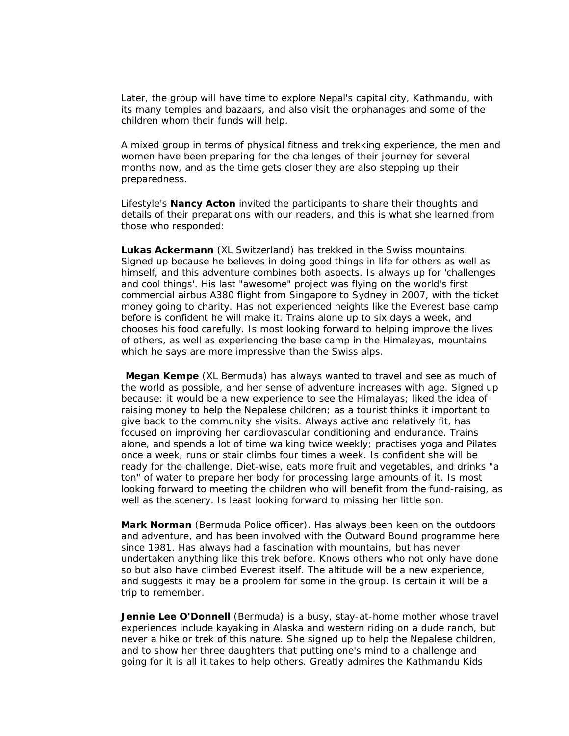Later, the group will have time to explore Nepal's capital city, Kathmandu, with its many temples and bazaars, and also visit the orphanages and some of the children whom their funds will help.

A mixed group in terms of physical fitness and trekking experience, the men and women have been preparing for the challenges of their journey for several months now, and as the time gets closer they are also stepping up their preparedness.

Lifestyle's *Nancy Acton* invited the participants to share their thoughts and details of their preparations with our readers, and this is what she learned from those who responded:

**Lukas Ackermann** (XL Switzerland) has trekked in the Swiss mountains. Signed up because he believes in doing good things in life for others as well as himself, and this adventure combines both aspects. Is always up for 'challenges and cool things'. His last "awesome" project was flying on the world's first commercial airbus A380 flight from Singapore to Sydney in 2007, with the ticket money going to charity. Has not experienced heights like the Everest base camp before is confident he will make it. Trains alone up to six days a week, and chooses his food carefully. Is most looking forward to helping improve the lives of others, as well as experiencing the base camp in the Himalayas, mountains which he says are more impressive than the Swiss alps.

**Megan Kempe** (XL Bermuda) has always wanted to travel and see as much of the world as possible, and her sense of adventure increases with age. Signed up because: it would be a new experience to see the Himalayas; liked the idea of raising money to help the Nepalese children; as a tourist thinks it important to give back to the community she visits. Always active and relatively fit, has focused on improving her cardiovascular conditioning and endurance. Trains alone, and spends a lot of time walking twice weekly; practises yoga and Pilates once a week, runs or stair climbs four times a week. Is confident she will be ready for the challenge. Diet-wise, eats more fruit and vegetables, and drinks "a ton" of water to prepare her body for processing large amounts of it. Is most looking forward to meeting the children who will benefit from the fund-raising, as well as the scenery. Is least looking forward to missing her little son.

**Mark Norman** (Bermuda Police officer). Has always been keen on the outdoors and adventure, and has been involved with the Outward Bound programme here since 1981. Has always had a fascination with mountains, but has never undertaken anything like this trek before. Knows others who not only have done so but also have climbed Everest itself. The altitude will be a new experience, and suggests it may be a problem for some in the group. Is certain it will be a trip to remember.

**Jennie Lee O'Donnell** (Bermuda) is a busy, stay-at-home mother whose travel experiences include kayaking in Alaska and western riding on a dude ranch, but never a hike or trek of this nature. She signed up to help the Nepalese children, and to show her three daughters that putting one's mind to a challenge and going for it is all it takes to help others. Greatly admires the Kathmandu Kids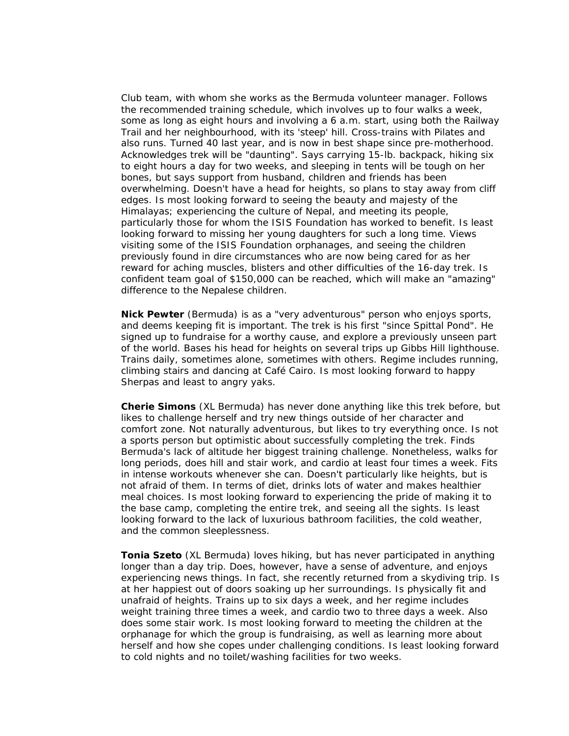Club team, with whom she works as the Bermuda volunteer manager. Follows the recommended training schedule, which involves up to four walks a week, some as long as eight hours and involving a 6 a.m. start, using both the Railway Trail and her neighbourhood, with its 'steep' hill. Cross-trains with Pilates and also runs. Turned 40 last year, and is now in best shape since pre-motherhood. Acknowledges trek will be "daunting". Says carrying 15-lb. backpack, hiking six to eight hours a day for two weeks, and sleeping in tents will be tough on her bones, but says support from husband, children and friends has been overwhelming. Doesn't have a head for heights, so plans to stay away from cliff edges. Is most looking forward to seeing the beauty and majesty of the Himalayas; experiencing the culture of Nepal, and meeting its people, particularly those for whom the ISIS Foundation has worked to benefit. Is least looking forward to missing her young daughters for such a long time. Views visiting some of the ISIS Foundation orphanages, and seeing the children previously found in dire circumstances who are now being cared for as her reward for aching muscles, blisters and other difficulties of the 16-day trek. Is confident team goal of \$150,000 can be reached, which will make an "amazing" difference to the Nepalese children.

**Nick Pewter** (Bermuda) is as a "very adventurous" person who enjoys sports, and deems keeping fit is important. The trek is his first "since Spittal Pond". He signed up to fundraise for a worthy cause, and explore a previously unseen part of the world. Bases his head for heights on several trips up Gibbs Hill lighthouse. Trains daily, sometimes alone, sometimes with others. Regime includes running, climbing stairs and dancing at Café Cairo. Is most looking forward to happy Sherpas and least to angry yaks.

**Cherie Simons** (XL Bermuda) has never done anything like this trek before, but likes to challenge herself and try new things outside of her character and comfort zone. Not naturally adventurous, but likes to try everything once. Is not a sports person but optimistic about successfully completing the trek. Finds Bermuda's lack of altitude her biggest training challenge. Nonetheless, walks for long periods, does hill and stair work, and cardio at least four times a week. Fits in intense workouts whenever she can. Doesn't particularly like heights, but is not afraid of them. In terms of diet, drinks lots of water and makes healthier meal choices. Is most looking forward to experiencing the pride of making it to the base camp, completing the entire trek, and seeing all the sights. Is least looking forward to the lack of luxurious bathroom facilities, the cold weather, and the common sleeplessness.

**Tonia Szeto** (XL Bermuda) loves hiking, but has never participated in anything longer than a day trip. Does, however, have a sense of adventure, and enjoys experiencing news things. In fact, she recently returned from a skydiving trip. Is at her happiest out of doors soaking up her surroundings. Is physically fit and unafraid of heights. Trains up to six days a week, and her regime includes weight training three times a week, and cardio two to three days a week. Also does some stair work. Is most looking forward to meeting the children at the orphanage for which the group is fundraising, as well as learning more about herself and how she copes under challenging conditions. Is least looking forward to cold nights and no toilet/washing facilities for two weeks.